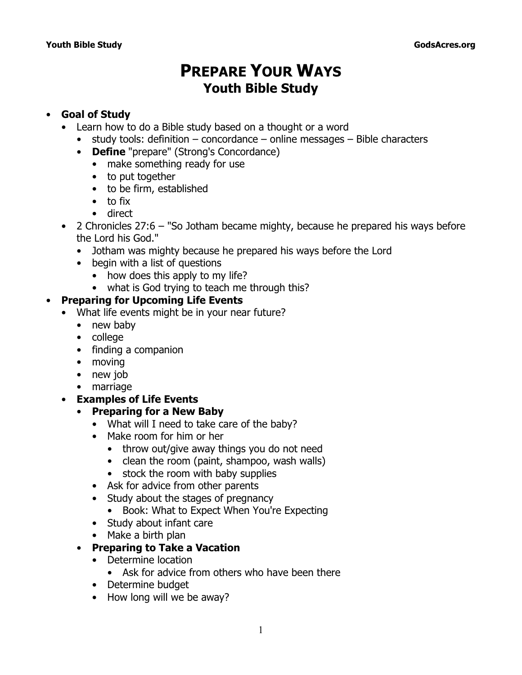# **PREPARE YOUR WAYS Youth Bible Study**

# • **Goal of Study**

- Learn how to do a Bible study based on a thought or a word
	- study tools: definition concordance online messages Bible characters
	- **Define** "prepare" (*Strong's Concordance*)
		- make something ready for use
		- to put together
		- to be firm, established
		- to fix
		- direct
- 2 Chronicles 27:6  *"So Jotham became mighty, because he prepared his ways before the Lord his God."*
	- Jotham was mighty because he prepared his ways before the Lord
	- begin with a list of questions
		- how does this apply to my life?
		- what is God trying to teach me through this?

# • **Preparing for Upcoming Life Events**

- What life events might be in your near future?
	- new baby
	- college
	- finding a companion
	- moving
	- new job
	- marriage
- **Examples of Life Events**
	- **Preparing for a New Baby**
		- What will I need to take care of the baby?
		- Make room for him or her
			- throw out/give away things you do not need
			- clean the room (paint, shampoo, wash walls)
			- stock the room with baby supplies
		- Ask for advice from other parents
		- Study about the stages of pregnancy
			- Book: *What to Expect When You're Expecting*
		- Study about infant care
		- Make a birth plan
	- **Preparing to Take a Vacation**
		- Determine location
			- Ask for advice from others who have been there
		- Determine budget
		- How long will we be away?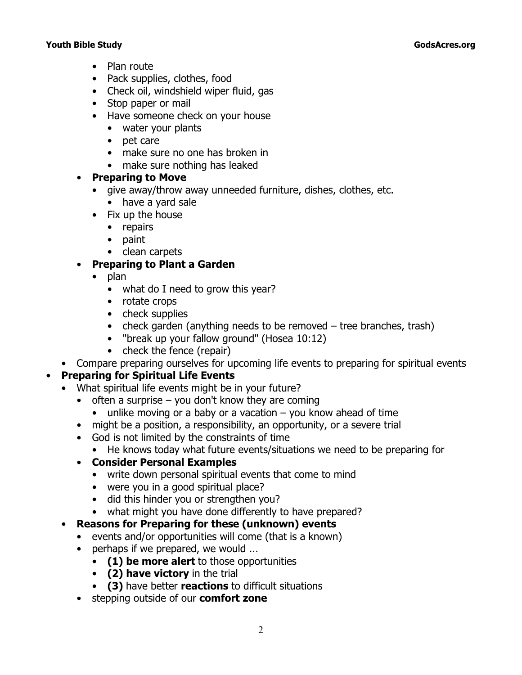- Plan route
- Pack supplies, clothes, food
- Check oil, windshield wiper fluid, gas
- Stop paper or mail
- Have someone check on your house
	- water your plants
	- pet care
	- make sure no one has broken in
	- make sure nothing has leaked

# • **Preparing to Move**

- give away/throw away unneeded furniture, dishes, clothes, etc.
	- have a yard sale
- Fix up the house
	- repairs
	- paint
	- clean carpets
- **Preparing to Plant a Garden**
	- plan
		- what do I need to grow this year?
		- rotate crops
		- check supplies
		- check garden (anything needs to be removed tree branches, trash)
		- *"break up your fallow ground"* (Hosea 10:12)
		- check the fence (repair)
- Compare preparing ourselves for upcoming life events to preparing for spiritual events

# • **Preparing for Spiritual Life Events**

- What spiritual life events might be in your future?
	- $\bullet$  often a surprise you don't know they are coming
		- unlike moving or a baby or a vacation  $-$  you know ahead of time
	- might be a position, a responsibility, an opportunity, or a severe trial
	- God is not limited by the constraints of time
		- He knows today what future events/situations we need to be preparing for

# • **Consider Personal Examples**

- write down personal spiritual events that come to mind
- were you in a good spiritual place?
- did this hinder you or strengthen you?
- what might you have done differently to have prepared?
- **Reasons for Preparing for these (unknown) events**
	- events and/or opportunities will come (that is a known)
	- perhaps if we prepared, we would ...
		- **(1) be more alert** to those opportunities
		- **(2) have victory** in the trial
		- **(3)** have better **reactions** to difficult situations
	- stepping outside of our **comfort zone**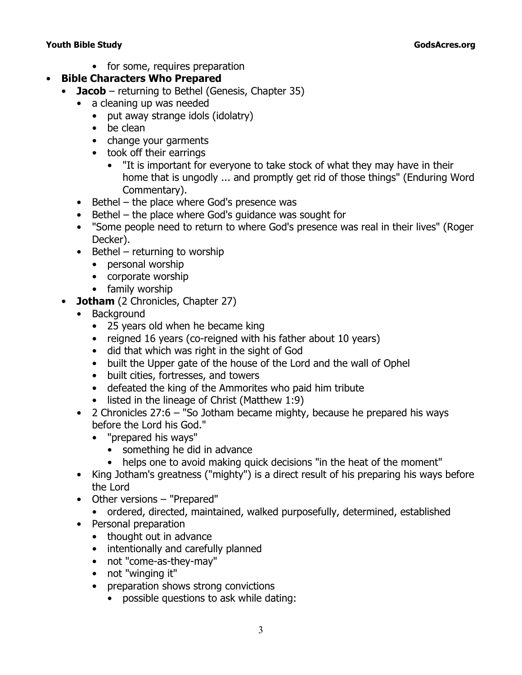• for some, requires preparation

# • **Bible Characters Who Prepared**

- **Jacob**  returning to Bethel (Genesis, Chapter 35)
	- a cleaning up was needed
		- put away strange idols (idolatry)
		- be clean
		- change your garments
		- took off their earrings
			- "It is important for everyone to take stock of what they may have in their home that is ungodly ... and promptly get rid of those things" (*Enduring Word Commentary*).
	- Bethel the place where God's presence was
	- Bethel the place where God's guidance was sought for
	- "Some people need to return to where God's presence was real in their lives" (Roger Decker).
	- Bethel returning to worship
		- personal worship
		- corporate worship
		- family worship
- **Jotham** (2 Chronicles, Chapter 27)
	- Background
		- 25 years old when he became king
		- reigned 16 years (co-reigned with his father about 10 years)
		- did that which was right in the sight of God
		- built the Upper gate of the house of the Lord and the wall of Ophel
		- built cities, fortresses, and towers
		- defeated the king of the Ammorites who paid him tribute
		- listed in the lineage of Christ (Matthew 1:9)
	- 2 Chronicles 27:6  *"So Jotham became mighty, because he prepared his ways before the Lord his God."*
		- *"prepared his ways"*
			- something he did in advance
			- helps one to avoid making quick decisions "in the heat of the moment"
	- King Jotham's greatness ("mighty") is a direct result of his preparing his ways before the Lord
	- Other versions *"Prepared"* 
		- ordered, directed, maintained, walked purposefully, determined, established
	- Personal preparation
		- thought out in advance
		- intentionally and carefully planned
		- not "come-as-they-may"
		- not "winging it"
		- preparation shows strong convictions
			- possible questions to ask while dating: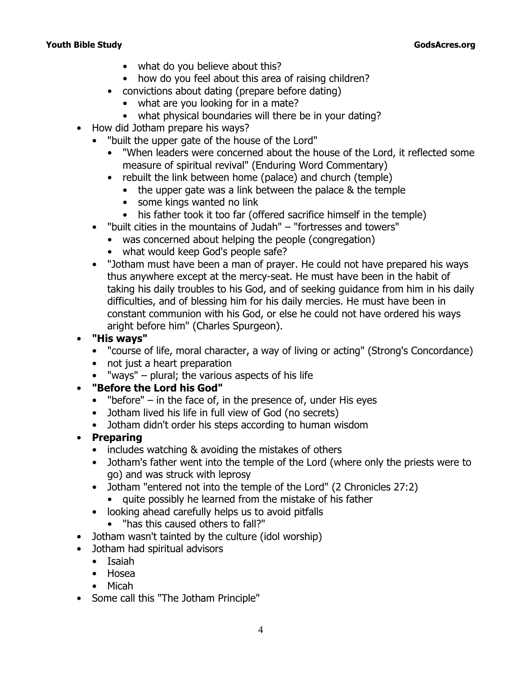- what do you believe about this?
- how do you feel about this area of raising children?
- convictions about dating (prepare before dating)
	- what are you looking for in a mate?
	- what physical boundaries will there be in your dating?
- How did Jotham prepare his ways?
	- *"built the upper gate of the house of the Lord"*
		- "When leaders were concerned about the house of the Lord, it reflected some measure of spiritual revival" (*Enduring Word Commentary*)
		- rebuilt the link between home (palace) and church (temple)
			- the upper gate was a link between the palace & the temple
			- some kings wanted no link
			- his father took it too far (offered sacrifice himself in the temple)
	- *"built cities in the mountains of Judah" "fortresses and towers"*
		- was concerned about helping the people (congregation)
		- what would keep God's people safe?
	- "Jotham must have been a man of prayer. He could not have prepared his ways thus anywhere except at the mercy-seat. He must have been in the habit of taking his daily troubles to his God, and of seeking guidance from him in his daily difficulties, and of blessing him for his daily mercies. He must have been in constant communion with his God, or else he could not have ordered his ways aright before him" (Charles Spurgeon).

### • **"His ways"**

- "course of life, moral character, a way of living or acting" (*Strong's Concordance*)
- not just a heart preparation
- "ways" plural; the various aspects of his life

# • **"Before the Lord his God"**

- "before"  $-$  in the face of, in the presence of, under His eyes
- Jotham lived his life in full view of God (no secrets)
- Jotham didn't order his steps according to human wisdom

# • **Preparing**

- includes watching & avoiding the mistakes of others
- Jotham's father went into the temple of the Lord (where only the priests were to go) and was struck with leprosy
- Jotham *"entered not into the temple of the Lord" (2 Chronicles 27:2)*
	- quite possibly he learned from the mistake of his father
- looking ahead carefully helps us to avoid pitfalls
	- "has this caused others to fall?"
- Jotham wasn't tainted by the culture (idol worship)
- Jotham had spiritual advisors
	- Isaiah
	- Hosea
	- Micah
- Some call this "The Jotham Principle"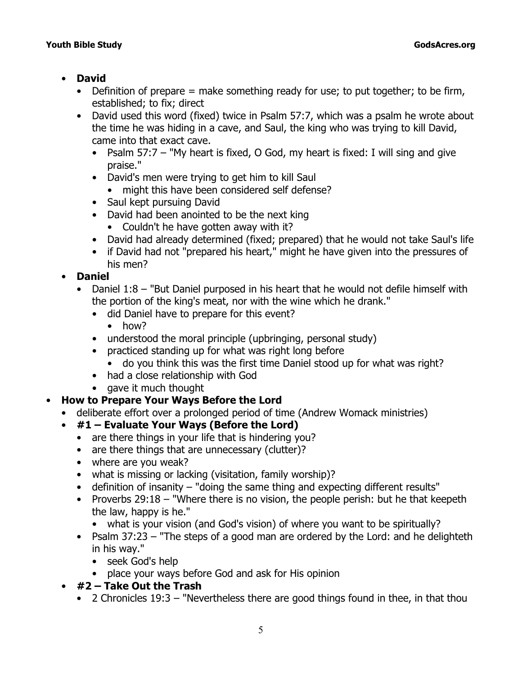# • **David**

- Definition of prepare  $=$  make something ready for use; to put together; to be firm, established; to fix; direct
- David used this word (fixed) twice in Psalm 57:7, which was a psalm he wrote about the time he was hiding in a cave, and Saul, the king who was trying to kill David, came into that exact cave.
	- Psalm 57:7  *"My heart is fixed, O God, my heart is fixed: I will sing and give praise."*
	- David's men were trying to get him to kill Saul
		- might this have been considered self defense?
	- Saul kept pursuing David
	- David had been anointed to be the next king
		- Couldn't he have gotten away with it?
	- David had already determined (fixed; prepared) that he would not take Saul's life
	- if David had not "prepared his heart," might he have given into the pressures of his men?

# • **Daniel**

- Daniel 1:8  *"But Daniel purposed in his heart that he would not defile himself with the portion of the king's meat, nor with the wine which he drank."*
	- did Daniel have to prepare for this event?
		- how?
	- understood the moral principle (upbringing, personal study)
	- practiced standing up for what was right long before
	- do you think this was the first time Daniel stood up for what was right?
	- had a close relationship with God
	- gave it much thought

# • **How to Prepare Your Ways Before the Lord**

- deliberate effort over a prolonged period of time (Andrew Womack ministries)
- **#1 Evaluate Your Ways (Before the Lord)**
	- are there things in your life that is hindering you?
	- are there things that are unnecessary (clutter)?
	- where are you weak?
	- what is missing or lacking (visitation, family worship)?
	- definition of insanity "doing the same thing and expecting different results"
	- Proverbs 29:18  *"Where there is no vision, the people perish: but he that keepeth the law, happy is he."*
		- what is your vision (and God's vision) of where you want to be spiritually?
	- Psalm 37:23  *"The steps of a good man are ordered by the Lord: and he delighteth in his way."*
		- seek God's help
		- place your ways before God and ask for His opinion
- **#2 Take Out the Trash**
	- 2 Chronicles 19:3  *"Nevertheless there are good things found in thee, in that thou*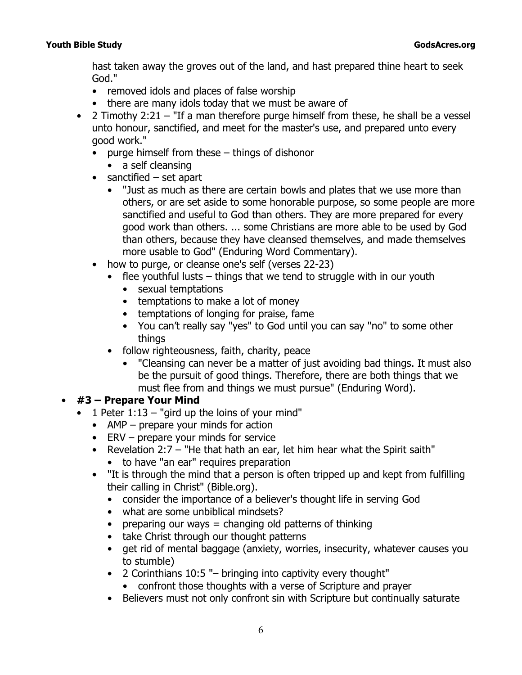*hast taken away the groves out of the land, and hast prepared thine heart to seek God."*

- removed idols and places of false worship
- there are many idols today that we must be aware of
- 2 Timothy 2:21  *"If a man therefore purge himself from these, he shall be a vessel unto honour, sanctified, and meet for the master's use, and prepared unto every good work."*
	- purge himself from these things of dishonor
		- a self cleansing
	- *sanctified* set apart
		- "Just as much as there are certain bowls and plates that we use more than others, or are set aside to some honorable purpose, so some people are more sanctified and useful to God than others. They are more prepared for every good work than others. ... some Christians are more able to be used by God than others, because they have cleansed themselves, and made themselves more usable to God" (Enduring Word Commentary).
	- how to *purge*, or cleanse one's self (verses 22-23)
		- *flee youthful lusts* things that we tend to struggle with in our youth
			- sexual temptations
			- temptations to make a lot of money
			- temptations of longing for praise, fame
			- You can't really say "yes" to God until you can say "no" to some other things
		- *follow righteousness, faith, charity, peace*
			- "Cleansing can never be a matter of just avoiding bad things. It must also be the pursuit of good things. Therefore, there are both things that we must flee from and things we must pursue" (Enduring Word).

# • **#3 – Prepare Your Mind**

- 1 Peter 1:13  *"gird up the loins of your mind"*
	- AMP prepare your minds for action
	- ERV prepare your minds for service
	- Revelation 2:7  *"He that hath an ear, let him hear what the Spirit saith"*  • to have "an ear" requires preparation
	- "It is through the mind that a person is often tripped up and kept from fulfilling their calling in Christ" *(Bible.org).*
		- consider the importance of a believer's thought life in serving God
		- what are some unbiblical mindsets?
		- preparing our ways  $=$  changing old patterns of thinking
		- take Christ through our thought patterns
		- get rid of mental baggage (anxiety, worries, insecurity, whatever causes you to stumble)
		- 2 Corinthians 10:5 *"– bringing into captivity every thought"*
			- confront those thoughts with a verse of Scripture and prayer
		- Believers must not only confront sin with Scripture but continually saturate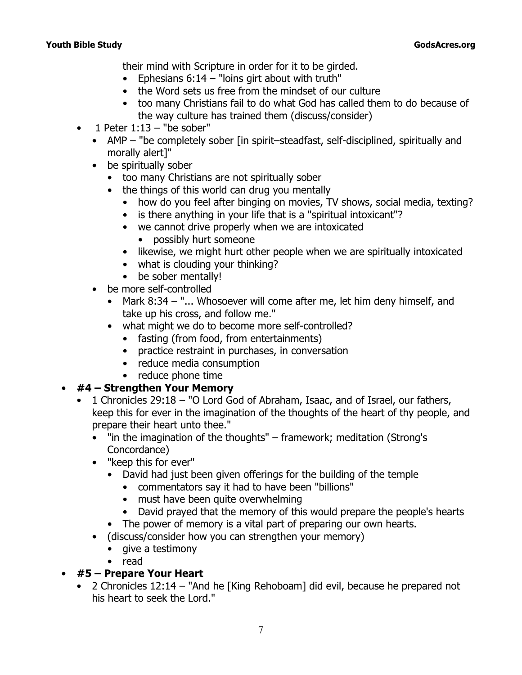their mind with Scripture in order for it to be girded.

- Ephesians 6:14  *"loins girt about with truth"*
- the Word sets us free from the mindset of our culture
- too many Christians fail to do what God has called them to do because of the way culture has trained them (discuss/consider)
- 1 Peter 1:13  *"be sober"*
	- AMP "be completely sober [in spirit–steadfast, self-disciplined, spiritually and morally alert]"
	- be spiritually sober
		- too many Christians are not spiritually sober
		- the things of this world can drug you mentally
			- how do you feel after binging on movies, TV shows, social media, texting?
			- is there anything in your life that is a "spiritual intoxicant"?
			- we cannot drive properly when we are intoxicated
				- possibly hurt someone
			- likewise, we might hurt other people when we are spiritually intoxicated
			- what is clouding your thinking?
			- be sober mentally!
	- be more self-controlled
		- Mark 8:34  *"... Whosoever will come after me, let him deny himself, and take up his cross, and follow me."*
		- what might we do to become more self-controlled?
			- fasting (from food, from entertainments)
			- practice restraint in purchases, in conversation
			- reduce media consumption
			- reduce phone time

# • **#4 – Strengthen Your Memory**

- 1 Chronicles 29:18  *"O Lord God of Abraham, Isaac, and of Israel, our fathers, keep this for ever in the imagination of the thoughts of the heart of thy people, and prepare their heart unto thee."*
	- *"in the imagination of the thoughts"*  framework; meditation (*Strong's Concordance*)
	- *"keep this for ever"*
		- David had just been given offerings for the building of the temple
			- commentators say it had to have been "billions"
			- must have been quite overwhelming
			- David prayed that the memory of this would prepare the people's hearts
		- The power of memory is a vital part of preparing our own hearts.
	- (discuss/consider how you can strengthen your memory)
		- give a testimony
		- read

# • **#5 – Prepare Your Heart**

• 2 Chronicles 12:14 *– "And he* [King Rehoboam] *did evil, because he prepared not his heart to seek the Lord."*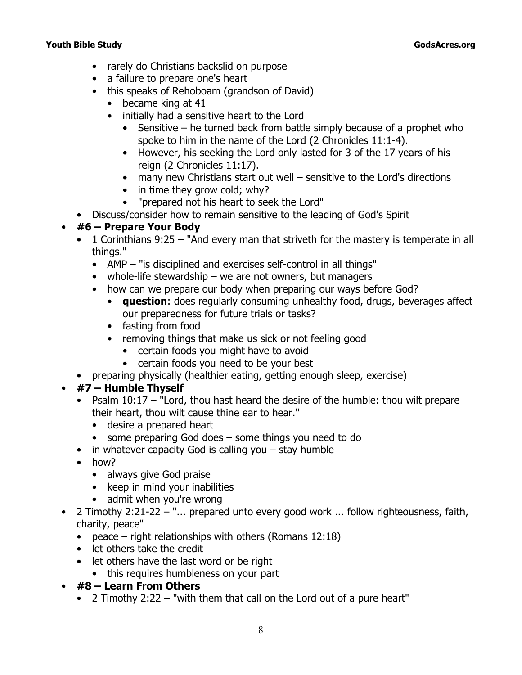- rarely do Christians backslid on purpose
- a failure to prepare one's heart
- this speaks of Rehoboam (grandson of David)
	- became king at 41
	- initially had a sensitive heart to the Lord
		- Sensitive he turned back from battle simply because of a prophet who spoke to him in the name of the Lord (2 Chronicles 11:1-4).
		- However, his seeking the Lord only lasted for 3 of the 17 years of his reign (2 Chronicles 11:17).
		- many new Christians start out well sensitive to the Lord's directions
		- in time they grow cold; why?
		- *"prepared not his heart to seek the Lord"*
- Discuss/consider how to remain sensitive to the leading of God's Spirit

# • **#6 – Prepare Your Body**

- 1 Corinthians 9:25  *"And every man that striveth for the mastery is temperate in all things."*
	- AMP *"is disciplined and exercises self-control in all things"*
	- whole-life stewardship we are not owners, but managers
	- how can we prepare our body when preparing our ways before God?
		- **question**: does regularly consuming unhealthy food, drugs, beverages affect our preparedness for future trials or tasks?
		- fasting from food
		- removing things that make us sick or not feeling good
			- certain foods you might have to avoid
			- certain foods you need to be your best
- preparing physically (healthier eating, getting enough sleep, exercise)

# • **#7 – Humble Thyself**

- Psalm 10:17  *"Lord, thou hast heard the desire of the humble: thou wilt prepare their heart, thou wilt cause thine ear to hear."*
	- desire a prepared heart
	- some preparing God does some things you need to do
- in whatever capacity God is calling you stay humble
- how?
	- always give God praise
	- keep in mind your inabilities
	- admit when you're wrong
- 2 Timothy 2:21-22  *"... prepared unto every good work ... follow righteousness, faith, charity, peace"*
	- *peace* right relationships with others (Romans 12:18)
	- let others take the credit
	- let others have the last word or be right
		- this requires humbleness on your part
- **#8 Learn From Others**
	- 2 Timothy 2:22  *"with them that call on the Lord out of a pure heart"*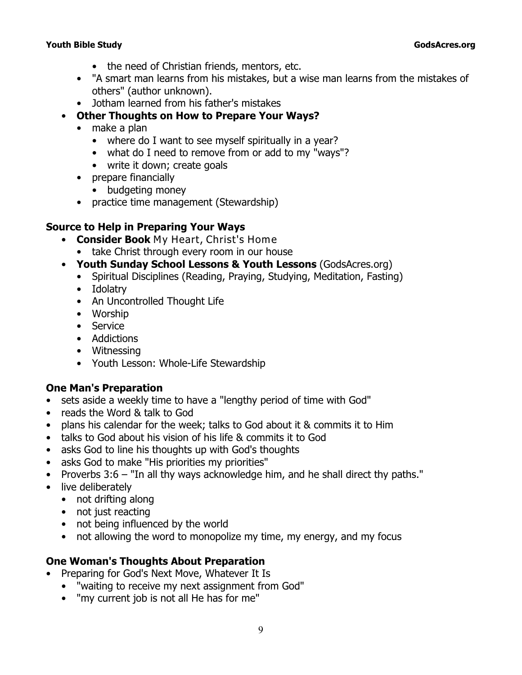- the need of Christian friends, mentors, etc.
- "A smart man learns from his mistakes, but a wise man learns from the mistakes of others" (author unknown).
- Jotham learned from his father's mistakes
- **Other Thoughts on How to Prepare Your Ways?**
	- make a plan
		- where do I want to see myself spiritually in a year?
		- what do I need to remove from or add to my "ways"?
		- write it down; create goals
	- prepare financially
		- budgeting money
	- practice time management (Stewardship)

# **Source to Help in Preparing Your Ways**

- **Consider Book** *My Heart, Christ's Home*
	- take Christ through every room in our house
- **Youth Sunday School Lessons & Youth Lessons** (GodsAcres.org)
	- Spiritual Disciplines (Reading, Praying, Studying, Meditation, Fasting)
	- Idolatry
	- An Uncontrolled Thought Life
	- Worship
	- Service
	- Addictions
	- Witnessing
	- Youth Lesson: Whole-Life Stewardship

### **One Man's Preparation**

- sets aside a weekly time to have a "lengthy period of time with God"
- reads the Word & talk to God
- plans his calendar for the week; talks to God about it & commits it to Him
- talks to God about his vision of his life & commits it to God
- asks God to line his thoughts up with God's thoughts
- asks God to make "His priorities my priorities"
- Proverbs 3:6  *"In all thy ways acknowledge him, and he shall direct thy paths."*
- live deliberately
	- not drifting along
	- not just reacting
	- not being influenced by the world
	- not allowing the word to monopolize my time, my energy, and my focus

### **One Woman's Thoughts About Preparation**

- Preparing for God's Next Move, Whatever It Is
	- "waiting to receive my next assignment from God"
	- "my current job is not all He has for me"